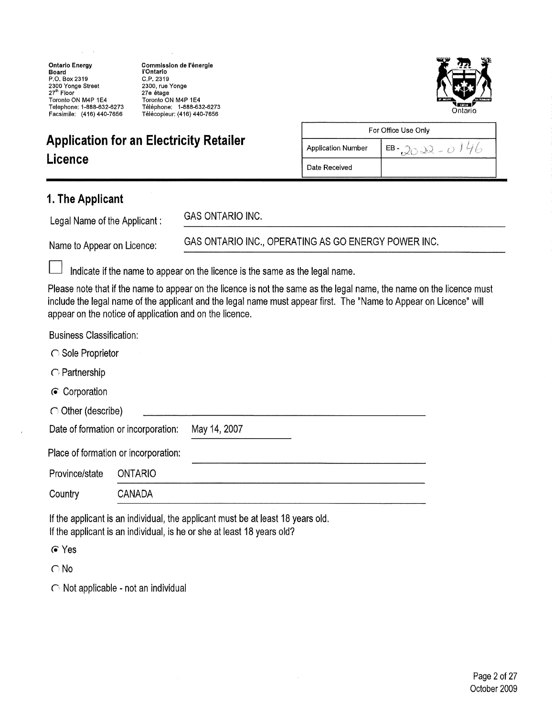Ontario Energy Board P.O. Box 2319 2300 Yonge Street 27" Floor Toronto ON M4P 1E4 Telephone: 1-888-632-6273 Facsimile: (416)440-7656

Commission de I'energie I'Ontario C.P.2319 2300, rue Yonge 27e étage Toronto ON M4P1E4 Telephone: 1-888-632-6273 Telecopieur: (416) 440-7656 Ontario



# Application for an Electricity Retailer

| For Office Use Only                      |  |  |  |
|------------------------------------------|--|--|--|
| <b>Application Number</b><br>EB-2022-014 |  |  |  |
| Date Received                            |  |  |  |

## 1. The Applicant

Legal Name of the Applicant:

GAS ONTARIO INC.

Name to Appear on Licence:

GAS ONTARIO INC., OPERATING AS GO ENERGY POWER INC.

Indicate if the name to appear on the licence is the same as the legal name,

Please note that if the name to appear on the licence is not the same as the legal name, the name on the licence must include the legal name of the applicant and the legal name must appear first. The "Name to Appear on Licence" will appear on the notice of application and on the licence.

Business Classification:

 $\bigcap$  Partnership

(• Corporation

|  | $\bigcirc$ Other (describe) |
|--|-----------------------------|
|--|-----------------------------|

Date of formation or incorporation: May 14, 2007

Place of formation or incorporation:

| Province/state | ONTARIO       |  |
|----------------|---------------|--|
| Country        | <b>CANADA</b> |  |

If the applicant is an individual, the applicant must be at least 18 years old. If the applicant is an individual, is he or she at least 18 years old?

(•Yes

C No

 $\bigcirc$  Not applicable - not an individual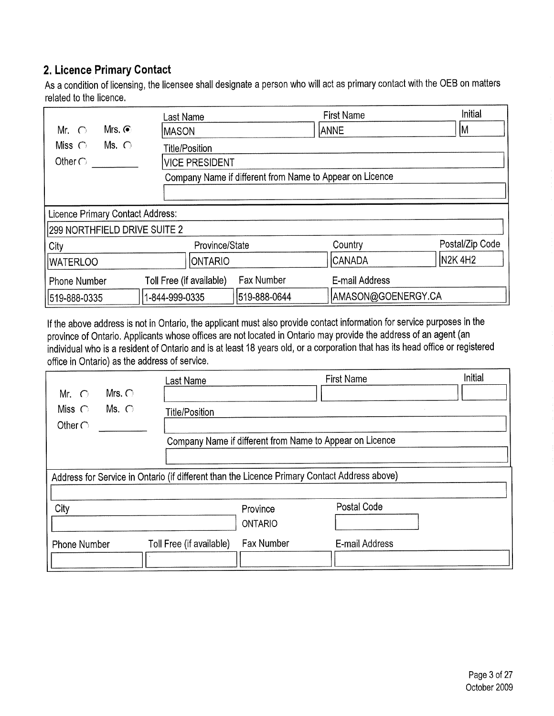## 2. Licence Primary Contact

As a condition of licensing, the licensee shall designate a person who will act as primary contact with the OEB on matters related to the licence,

|                                  | Last Name                                                | <b>First Name</b>  | <b>Initial</b>  |  |
|----------------------------------|----------------------------------------------------------|--------------------|-----------------|--|
| Mrs. $\odot$<br>Mr. $\bigcap$    | <b>IMASON</b>                                            | <b>ANNE</b>        | M               |  |
| Ms. $\bigcirc$<br>Miss $\bigcap$ | <b>Title/Position</b>                                    |                    |                 |  |
| Other $\bigcirc$                 | <b>VICE PRESIDENT</b>                                    |                    |                 |  |
|                                  | Company Name if different from Name to Appear on Licence |                    |                 |  |
|                                  |                                                          |                    |                 |  |
| Licence Primary Contact Address: |                                                          |                    |                 |  |
| 299 NORTHFIELD DRIVE SUITE 2     |                                                          |                    |                 |  |
| City                             | Province/State                                           | Country            | Postal/Zip Code |  |
| <b>IWATERLOO</b>                 | <b>ONTARIO</b>                                           | <b>CANADA</b>      | <b>N2K4H2</b>   |  |
| <b>Phone Number</b>              | Fax Number<br>Toll Free (if available)                   | E-mail Address     |                 |  |
| 519-888-0335                     | 519-888-0644<br>1-844-999-0335                           | AMASON@GOENERGY.CA |                 |  |

If the above address is not in Ontario, the applicant must also provide contact information for service purposes in the province of Ontario. Applicants whose offices are not located in Ontario may provide the address of an agent (an individual who is a resident of Ontario and is at least 18 years old, or a corporation that has its head office or registered office in Ontario) as the address of service,

|                                                                                              | Last Name                |                                                          | <b>First Name</b> | Initial |
|----------------------------------------------------------------------------------------------|--------------------------|----------------------------------------------------------|-------------------|---------|
| Mrs. $\bigcap$<br>$\bigcap$<br>Mr.                                                           |                          |                                                          |                   |         |
| Miss $\bigcap$<br>Ms. $\bigcap$                                                              | <b>Title/Position</b>    |                                                          |                   |         |
| Other $\bigcirc$                                                                             |                          |                                                          |                   |         |
|                                                                                              |                          | Company Name if different from Name to Appear on Licence |                   |         |
|                                                                                              |                          |                                                          |                   |         |
| Address for Service in Ontario (if different than the Licence Primary Contact Address above) |                          |                                                          |                   |         |
|                                                                                              |                          |                                                          |                   |         |
| City                                                                                         |                          | Province                                                 | Postal Code       |         |
|                                                                                              |                          | <b>ONTARIO</b>                                           |                   |         |
| <b>Phone Number</b>                                                                          | Toll Free (if available) | <b>Fax Number</b>                                        | E-mail Address    |         |
|                                                                                              |                          |                                                          |                   |         |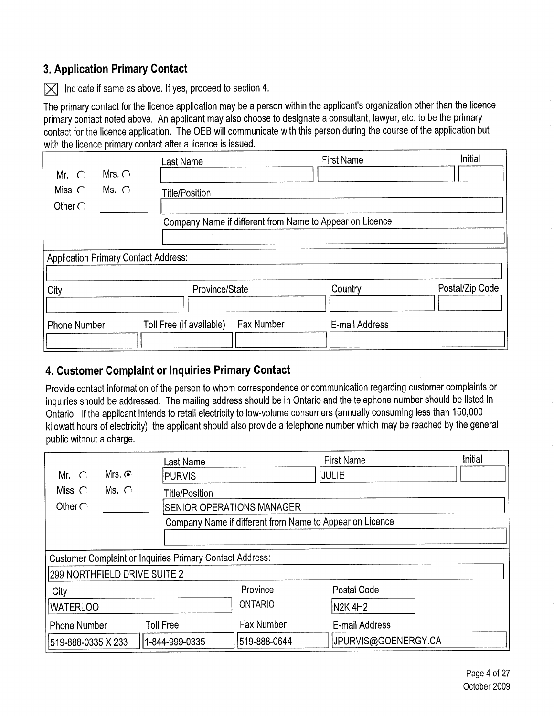## 3. Application Primary Contact

 $|\nabla|$  Indicate if same as above. If yes, proceed to section 4.

The primary contact for the licence application may be a person within the applicant's organization other than the licence primary contact noted above. An applicant may also choose to designate a consultant, lawyer, etc, to be the primary contact for the licence application, The OEB will communicate with this person during the course of the application but with the licence primary contact after a licence is issued.

| Mr. $\bigcirc$                              | Mrs. $\bigcirc$ | Last Name                | <b>First Name</b>                                        | Initial         |
|---------------------------------------------|-----------------|--------------------------|----------------------------------------------------------|-----------------|
| Miss $\bigcirc$                             | $Ms. \bigcirc$  | <b>Title/Position</b>    |                                                          |                 |
| Other $\bigcap$                             |                 |                          |                                                          |                 |
|                                             |                 |                          | Company Name if different from Name to Appear on Licence |                 |
|                                             |                 |                          |                                                          |                 |
| <b>Application Primary Contact Address:</b> |                 |                          |                                                          |                 |
| City                                        |                 | Province/State           | Country                                                  | Postal/Zip Code |
| <b>Phone Number</b>                         |                 | Toll Free (if available) | <b>Fax Number</b><br>E-mail Address                      |                 |

## 4. Customer Complaint or Inquiries Primary Contact

Provide contact information of the person to whom correspondence or communication regarding customer complaints or inquiries should be addressed. The mailing address should be in Ontario and the telephone number should be listed in Ontario. If the applicant intends to retail electricity to low-volume consumers (annually consuming less than 150,000 kilowatt hours of electricity), the applicant should also provide a telephone number which may be reached by the general public without a charge,

|                              |               | Last Name                                                       |                                                          | <b>First Name</b>   | Initial |
|------------------------------|---------------|-----------------------------------------------------------------|----------------------------------------------------------|---------------------|---------|
| Mr. $\bigcap$                | Mrs. $\odot$  | <b>PURVIS</b>                                                   |                                                          | JULIE               |         |
| Miss $\bigcirc$              | Ms. $\bigcap$ | <b>Title/Position</b>                                           |                                                          |                     |         |
| Other $\bigcap$              |               | <b>SENIOR OPERATIONS MANAGER</b>                                |                                                          |                     |         |
|                              |               |                                                                 | Company Name if different from Name to Appear on Licence |                     |         |
|                              |               |                                                                 |                                                          |                     |         |
|                              |               | <b>Customer Complaint or Inquiries Primary Contact Address:</b> |                                                          |                     |         |
| 299 NORTHFIELD DRIVE SUITE 2 |               |                                                                 |                                                          |                     |         |
| City                         |               |                                                                 | Province                                                 | Postal Code         |         |
| <b>WATERLOO</b>              |               |                                                                 | <b>ONTARIO</b>                                           | N2K 4H2             |         |
| <b>Phone Number</b>          |               | <b>Toll Free</b>                                                | <b>Fax Number</b>                                        | E-mail Address      |         |
| 519-888-0335 X 233           |               | 1-844-999-0335                                                  | 519-888-0644                                             | JPURVIS@GOENERGY.CA |         |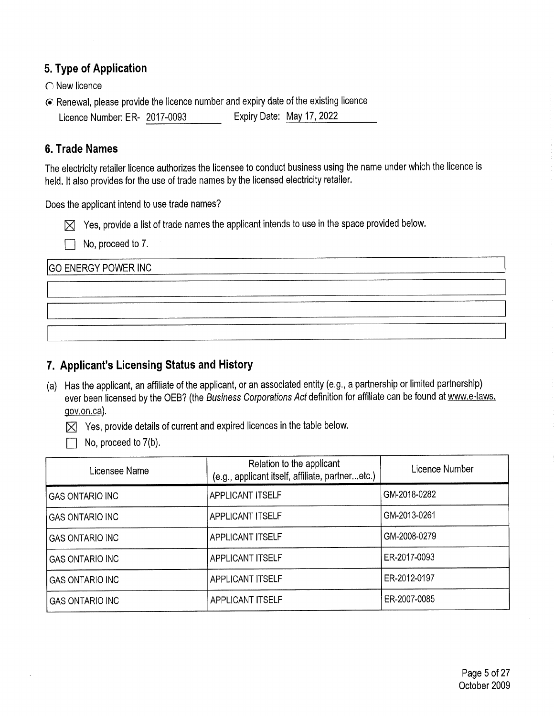#### 5. Type of Application

- $\bigcap$  New licence
- (• Renewal, please provide the licence number and expiry date of the existing licence Licence Number: ER- 2017-0093 Expiry Date: May 17, 2022

#### 6. Trade Names

The electricity retailer licence authorizes the licensee to conduct business using the name under which the licence is held. It also provides for the use of trade names by the licensed electricity retailer,

Does the applicant intend to use trade names?

 $\boxtimes$  Yes, provide a list of trade names the applicant intends to use in the space provided below.

No, proceed to 7,

GO ENERGY POWER INC

## 7. Applicant's Licensing Status and History

(a) Has the applicant, an affiliate of the applicant, or an associated entity (e,g., a partnership or limited partnership) ever been licensed by the OEB? (the Business Corporations Act definition for affiliate can be found at www.e-laws, gov.on.ca),

 $[\times]$  Yes, provide details of current and expired licences in the table below.

 $\Box$  No, proceed to 7(b).

| Licensee Name          | Relation to the applicant<br>(e.g., applicant itself, affiliate, partneretc.) | Licence Number |
|------------------------|-------------------------------------------------------------------------------|----------------|
| <b>GAS ONTARIO INC</b> | APPLICANT ITSELF                                                              | GM-2018-0282   |
| <b>GAS ONTARIO INC</b> | <b>APPLICANT ITSELF</b>                                                       | GM-2013-0261   |
| <b>GAS ONTARIO INC</b> | <b>APPLICANT ITSELF</b>                                                       | GM-2008-0279   |
| <b>GAS ONTARIO INC</b> | APPLICANT ITSELF                                                              | ER-2017-0093   |
| <b>GAS ONTARIO INC</b> | <b>APPLICANT ITSELF</b>                                                       | ER-2012-0197   |
| <b>GAS ONTARIO INC</b> | <b>APPLICANT ITSELF</b>                                                       | ER-2007-0085   |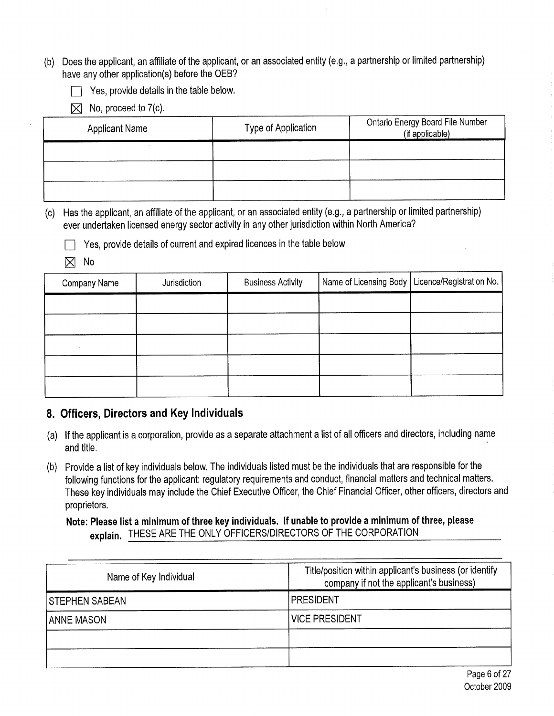- (b) Does the applicant, an affiliate of the applicant, or an associated entity (e.g,, a partnership or limited partnership) have any other application(s) before the OEB?
	- Yes, provide details in the table below.
	- No, proceed to 7(c),  $\boxtimes$

| Applicant Name | Type of Application | Ontario Energy Board File Number<br>(if applicable) |
|----------------|---------------------|-----------------------------------------------------|
|                |                     |                                                     |
|                |                     |                                                     |
|                |                     |                                                     |

(c) Has the applicant, an affiliate of the applicant, or an associated entity (e.g., a partnership or limited partnership) ever undertaken licensed energy sector activity in any other jurisdiction within North America?

Yes, provide details of current and expired licences in the table below

 $\boxtimes$ No

| Company Name | Jurisdiction | <b>Business Activity</b> | Name of Licensing Body   Licence/Registration No. |
|--------------|--------------|--------------------------|---------------------------------------------------|
|              |              |                          |                                                   |
|              |              |                          |                                                   |
|              |              |                          |                                                   |
|              |              |                          |                                                   |
|              |              |                          |                                                   |

## 8. Officers, Directors and Key Individuals

- (a) If the applicant is a corporation, provide as a separate attachment a list of all officers and directors, including name and title,
- (b) Provide a list of key individuals below, The individuals listed must be the individuals that are responsible for the following functions for the applicant: regulatory requirements and conduct, financial matters and technical matters, These key individuals may include the Chief Executive Officer, the Chief Financial Officer, other officers, directors and proprietors.

#### Note: Please list a minimum of three key individuals. If unable to provide a minimum of three, please explain. THESE ARE THE ONLY OFFICERS/DIRECTORS OF THE CORPORATION

| Name of Key Individual | Title/position within applicant's business (or identify<br>company if not the applicant's business) |  |  |
|------------------------|-----------------------------------------------------------------------------------------------------|--|--|
| I STEPHEN SABEAN       | <b>PRESIDENT</b>                                                                                    |  |  |
| <b>ANNE MASON</b>      | <b>VICE PRESIDENT</b>                                                                               |  |  |
|                        |                                                                                                     |  |  |
|                        |                                                                                                     |  |  |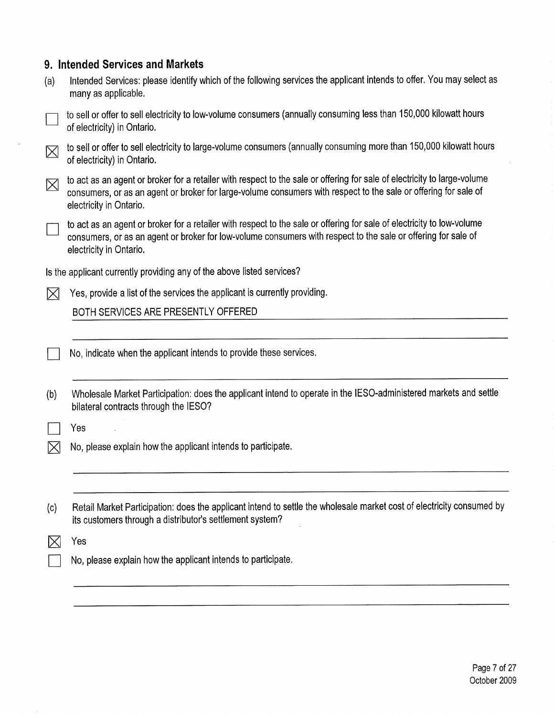| 9. Intended Services and Markets |  |  |  |  |  |
|----------------------------------|--|--|--|--|--|
|----------------------------------|--|--|--|--|--|

 $\mathcal{A}^{\mathcal{A}}$ 

| (a)         | Intended Services: please identify which of the following services the applicant intends to offer. You may select as<br>many as applicable.                                                                                                                            |
|-------------|------------------------------------------------------------------------------------------------------------------------------------------------------------------------------------------------------------------------------------------------------------------------|
|             | to sell or offer to sell electricity to low-volume consumers (annually consuming less than 150,000 kilowatt hours<br>of electricity) in Ontario.                                                                                                                       |
| $\boxtimes$ | to sell or offer to sell electricity to large-volume consumers (annually consuming more than 150,000 kilowatt hours<br>of electricity) in Ontario.                                                                                                                     |
| ⊠           | to act as an agent or broker for a retailer with respect to the sale or offering for sale of electricity to large-volume<br>consumers, or as an agent or broker for large-volume consumers with respect to the sale or offering for sale of<br>electricity in Ontario. |
|             | to act as an agent or broker for a retailer with respect to the sale or offering for sale of electricity to low-volume<br>consumers, or as an agent or broker for low-volume consumers with respect to the sale or offering for sale of<br>electricity in Ontario.     |
|             | Is the applicant currently providing any of the above listed services?                                                                                                                                                                                                 |
| $\times$    | Yes, provide a list of the services the applicant is currently providing.                                                                                                                                                                                              |
|             | BOTH SERVICES ARE PRESENTLY OFFERED                                                                                                                                                                                                                                    |
|             |                                                                                                                                                                                                                                                                        |
|             | No, indicate when the applicant intends to provide these services.                                                                                                                                                                                                     |
| (b)         | Wholesale Market Participation: does the applicant intend to operate in the IESO-administered markets and settle<br>bilateral contracts through the IESO?                                                                                                              |
|             | Yes                                                                                                                                                                                                                                                                    |
| ⋉           | No, please explain how the applicant intends to participate.                                                                                                                                                                                                           |
|             |                                                                                                                                                                                                                                                                        |
|             |                                                                                                                                                                                                                                                                        |
| (c)         | Retail Market Participation: does the applicant intend to settle the wholesale market cost of electricity consumed by<br>its customers through a distributor's settlement system?                                                                                      |
|             | Yes                                                                                                                                                                                                                                                                    |
|             | No, please explain how the applicant intends to participate.                                                                                                                                                                                                           |
|             |                                                                                                                                                                                                                                                                        |
|             |                                                                                                                                                                                                                                                                        |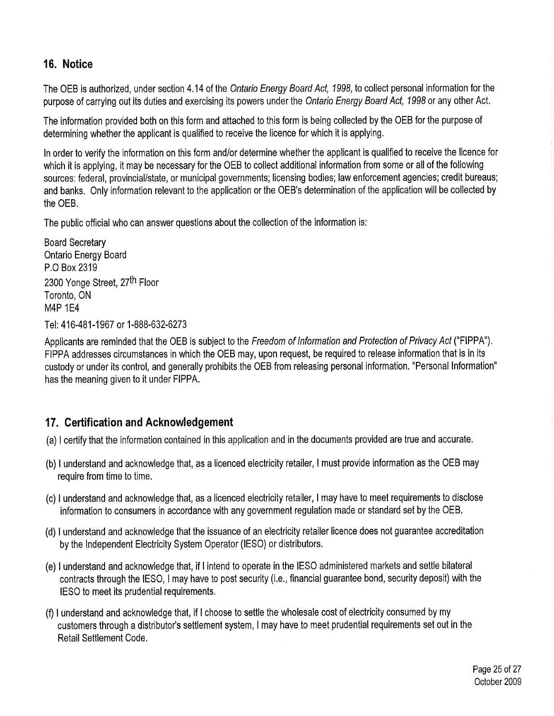## 16. Notice

The OEB is authorized, under section 4,14 of the Ontario Energy Board Act, 1998, to collect personal information for the purpose of carrying out its duties and exercising its powers under the Ontario Energy Board Act, 1998 or any other Act.

The information provided both on this form and attached to this form is being collected by the OEB for the purpose of determining whether the applicant is qualified to receive the licence for which it is applying.

In order to verify the information on this form and/or determine whether the applicant is qualified to receive the licence for which it is applying, it may be necessary for the OEB to collect additional information from some or all of the following sources; federal, provincial/state, or municipal governments; licensing bodies; law enforcement agencies; credit bureaus; and banks, Only information relevant to the application or the OEB's determination of the application will be collected by the OEB,

The public official who can answer questions about the collection of the information is:

Board Secretary Ontario Energy Board P.O Box 2319 2300 Yonge Street, 27<sup>th</sup> Floor Toronto, ON M4P 1E4

Tel: 416-481-1967 or 1-888-632-6273

Applicants are reminded that the OEB is subject to the Freedom of Information and Protection of Privacy Act ("FIPPA"). FIPPA addresses circumstances in which the OEB may, upon request, be required to release information that is in its custody or under its control, and generally prohibits the OEB from releasing personal information, "Personal Information" has the meaning given to it under FIPPA,

## 17. Certification and Acknowledgement

- (a) I certify that the information contained in this application and in the documents provided are true and accurate.
- (b) I understand and acknowledge that, as a licenced electricity retailer, I must provide information as the OEB may require from time to time,
- (c) I understand and acknowledge that, as a licenced electricity retailer, I may have to meet requirements to disclose information to consumers in accordance with any government regulation made or standard set by the OEB,
- (d) I understand and acknowledge that the issuance of an electricity retailer licence does not guarantee accreditation by the Independent Electricity System Operator (IESO) or distributors,
- (e) I understand and acknowledge that, if I intend to operate in the IESO administered markets and settle bilateral contracts through the IESO, I may have to post security (i.e., financial guarantee bond, security deposit) with the IESO to meet its prudential requirements,
- (f) I understand and acknowledge that, if I choose to settle the wholesale cost of electricity consumed by my customers through a distributor's settlement system, I may have to meet prudential requirements set out in the Retail Settlement Code,